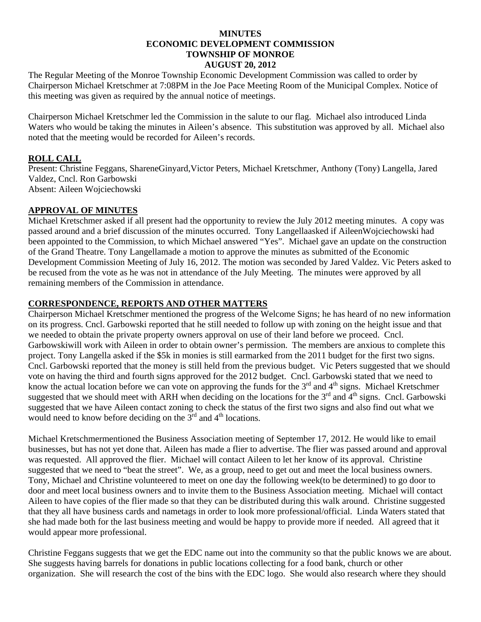#### **MINUTES ECONOMIC DEVELOPMENT COMMISSION TOWNSHIP OF MONROE AUGUST 20, 2012**

The Regular Meeting of the Monroe Township Economic Development Commission was called to order by Chairperson Michael Kretschmer at 7:08PM in the Joe Pace Meeting Room of the Municipal Complex. Notice of this meeting was given as required by the annual notice of meetings.

Chairperson Michael Kretschmer led the Commission in the salute to our flag. Michael also introduced Linda Waters who would be taking the minutes in Aileen's absence. This substitution was approved by all. Michael also noted that the meeting would be recorded for Aileen's records.

# **ROLL CALL**

Present: Christine Feggans, ShareneGinyard,Victor Peters, Michael Kretschmer, Anthony (Tony) Langella, Jared Valdez, Cncl. Ron Garbowski Absent: Aileen Wojciechowski

### **APPROVAL OF MINUTES**

Michael Kretschmer asked if all present had the opportunity to review the July 2012 meeting minutes. A copy was passed around and a brief discussion of the minutes occurred. Tony Langellaasked if AileenWojciechowski had been appointed to the Commission, to which Michael answered "Yes". Michael gave an update on the construction of the Grand Theatre. Tony Langellamade a motion to approve the minutes as submitted of the Economic Development Commission Meeting of July 16, 2012. The motion was seconded by Jared Valdez. Vic Peters asked to be recused from the vote as he was not in attendance of the July Meeting. The minutes were approved by all remaining members of the Commission in attendance.

### **CORRESPONDENCE, REPORTS AND OTHER MATTERS**

Chairperson Michael Kretschmer mentioned the progress of the Welcome Signs; he has heard of no new information on its progress. Cncl. Garbowski reported that he still needed to follow up with zoning on the height issue and that we needed to obtain the private property owners approval on use of their land before we proceed. Cncl. Garbowskiwill work with Aileen in order to obtain owner's permission. The members are anxious to complete this project. Tony Langella asked if the \$5k in monies is still earmarked from the 2011 budget for the first two signs. Cncl. Garbowski reported that the money is still held from the previous budget. Vic Peters suggested that we should vote on having the third and fourth signs approved for the 2012 budget. Cncl. Garbowski stated that we need to know the actual location before we can vote on approving the funds for the  $3<sup>rd</sup>$  and  $4<sup>th</sup>$  signs. Michael Kretschmer suggested that we should meet with ARH when deciding on the locations for the  $3<sup>rd</sup>$  and  $4<sup>th</sup>$  signs. Cncl. Garbowski suggested that we have Aileen contact zoning to check the status of the first two signs and also find out what we would need to know before deciding on the  $3<sup>rd</sup>$  and  $4<sup>th</sup>$  locations.

Michael Kretschmermentioned the Business Association meeting of September 17, 2012. He would like to email businesses, but has not yet done that. Aileen has made a flier to advertise. The flier was passed around and approval was requested. All approved the flier. Michael will contact Aileen to let her know of its approval. Christine suggested that we need to "beat the street". We, as a group, need to get out and meet the local business owners. Tony, Michael and Christine volunteered to meet on one day the following week(to be determined) to go door to door and meet local business owners and to invite them to the Business Association meeting. Michael will contact Aileen to have copies of the flier made so that they can be distributed during this walk around. Christine suggested that they all have business cards and nametags in order to look more professional/official. Linda Waters stated that she had made both for the last business meeting and would be happy to provide more if needed. All agreed that it would appear more professional.

Christine Feggans suggests that we get the EDC name out into the community so that the public knows we are about. She suggests having barrels for donations in public locations collecting for a food bank, church or other organization. She will research the cost of the bins with the EDC logo. She would also research where they should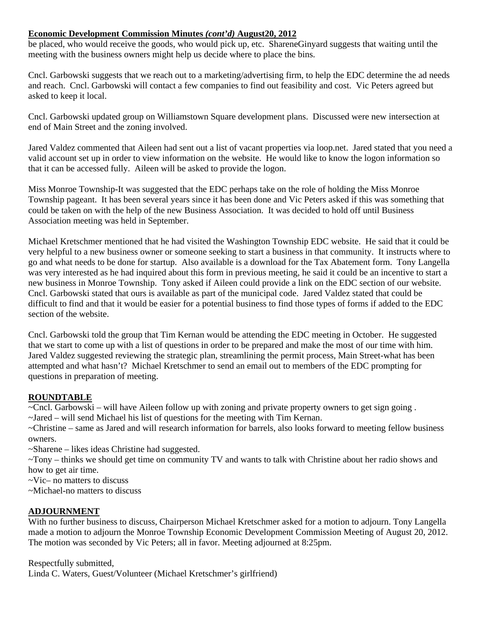## **Economic Development Commission Minutes** *(cont'd)* **August20, 2012**

be placed, who would receive the goods, who would pick up, etc. ShareneGinyard suggests that waiting until the meeting with the business owners might help us decide where to place the bins.

Cncl. Garbowski suggests that we reach out to a marketing/advertising firm, to help the EDC determine the ad needs and reach. Cncl. Garbowski will contact a few companies to find out feasibility and cost. Vic Peters agreed but asked to keep it local.

Cncl. Garbowski updated group on Williamstown Square development plans. Discussed were new intersection at end of Main Street and the zoning involved.

Jared Valdez commented that Aileen had sent out a list of vacant properties via loop.net. Jared stated that you need a valid account set up in order to view information on the website. He would like to know the logon information so that it can be accessed fully. Aileen will be asked to provide the logon.

Miss Monroe Township-It was suggested that the EDC perhaps take on the role of holding the Miss Monroe Township pageant. It has been several years since it has been done and Vic Peters asked if this was something that could be taken on with the help of the new Business Association. It was decided to hold off until Business Association meeting was held in September.

Michael Kretschmer mentioned that he had visited the Washington Township EDC website. He said that it could be very helpful to a new business owner or someone seeking to start a business in that community. It instructs where to go and what needs to be done for startup. Also available is a download for the Tax Abatement form. Tony Langella was very interested as he had inquired about this form in previous meeting, he said it could be an incentive to start a new business in Monroe Township. Tony asked if Aileen could provide a link on the EDC section of our website. Cncl. Garbowski stated that ours is available as part of the municipal code. Jared Valdez stated that could be difficult to find and that it would be easier for a potential business to find those types of forms if added to the EDC section of the website.

Cncl. Garbowski told the group that Tim Kernan would be attending the EDC meeting in October. He suggested that we start to come up with a list of questions in order to be prepared and make the most of our time with him. Jared Valdez suggested reviewing the strategic plan, streamlining the permit process, Main Street-what has been attempted and what hasn't? Michael Kretschmer to send an email out to members of the EDC prompting for questions in preparation of meeting.

# **ROUNDTABLE**

~Cncl. Garbowski – will have Aileen follow up with zoning and private property owners to get sign going .

~Jared – will send Michael his list of questions for the meeting with Tim Kernan.

~Christine – same as Jared and will research information for barrels, also looks forward to meeting fellow business owners.

~Sharene – likes ideas Christine had suggested.

~Tony – thinks we should get time on community TV and wants to talk with Christine about her radio shows and how to get air time.

~Vic– no matters to discuss

~Michael-no matters to discuss

# **ADJOURNMENT**

With no further business to discuss, Chairperson Michael Kretschmer asked for a motion to adjourn. Tony Langella made a motion to adjourn the Monroe Township Economic Development Commission Meeting of August 20, 2012. The motion was seconded by Vic Peters; all in favor. Meeting adjourned at 8:25pm.

Respectfully submitted, Linda C. Waters, Guest/Volunteer (Michael Kretschmer's girlfriend)